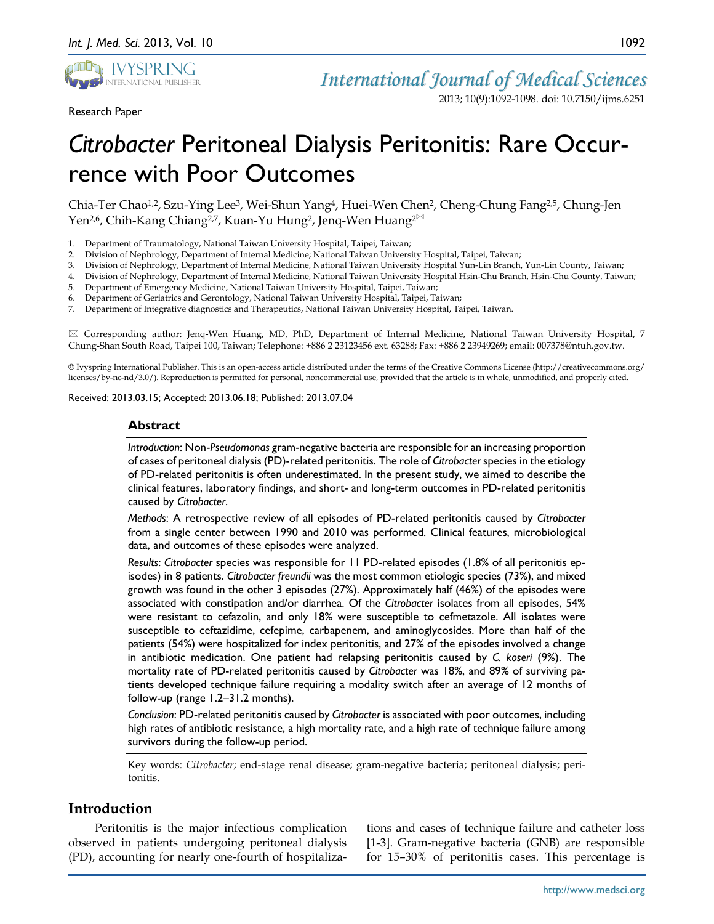

Research Paper

2013; 10(9):1092-1098. doi: 10.7150/ijms.6251

# *Citrobacter* Peritoneal Dialysis Peritonitis: Rare Occurrence with Poor Outcomes

Chia-Ter Chao1,2, Szu-Ying Lee3, Wei-Shun Yang4, Huei-Wen Chen2, Cheng-Chung Fang2,5, Chung-Jen Yen<sup>2,6</sup>, Chih-Kang Chiang<sup>2,7</sup>, Kuan-Yu Hung<sup>2</sup>, Jenq-Wen Huang<sup>2⊠</sup>

- 1. Department of Traumatology, National Taiwan University Hospital, Taipei, Taiwan;
- 2. Division of Nephrology, Department of Internal Medicine; National Taiwan University Hospital, Taipei, Taiwan;
- 3. Division of Nephrology, Department of Internal Medicine, National Taiwan University Hospital Yun-Lin Branch, Yun-Lin County, Taiwan;
- 4. Division of Nephrology, Department of Internal Medicine, National Taiwan University Hospital Hsin-Chu Branch, Hsin-Chu County, Taiwan;
- 5. Department of Emergency Medicine, National Taiwan University Hospital, Taipei, Taiwan;
- 6. Department of Geriatrics and Gerontology, National Taiwan University Hospital, Taipei, Taiwan;
- 7. Department of Integrative diagnostics and Therapeutics, National Taiwan University Hospital, Taipei, Taiwan.

 Corresponding author: Jenq-Wen Huang, MD, PhD, Department of Internal Medicine, National Taiwan University Hospital, 7 Chung-Shan South Road, Taipei 100, Taiwan; Telephone: +886 2 23123456 ext. 63288; Fax: +886 2 23949269; email: 007378@ntuh.gov.tw.

© Ivyspring International Publisher. This is an open-access article distributed under the terms of the Creative Commons License (http://creativecommons.org/ licenses/by-nc-nd/3.0/). Reproduction is permitted for personal, noncommercial use, provided that the article is in whole, unmodified, and properly cited.

Received: 2013.03.15; Accepted: 2013.06.18; Published: 2013.07.04

#### **Abstract**

*Introduction*: Non-*Pseudomonas* gram-negative bacteria are responsible for an increasing proportion of cases of peritoneal dialysis (PD)-related peritonitis. The role of *Citrobacter* species in the etiology of PD-related peritonitis is often underestimated. In the present study, we aimed to describe the clinical features, laboratory findings, and short- and long-term outcomes in PD-related peritonitis caused by *Citrobacter*.

*Methods*: A retrospective review of all episodes of PD-related peritonitis caused by *Citrobacter* from a single center between 1990 and 2010 was performed. Clinical features, microbiological data, and outcomes of these episodes were analyzed.

*Results*: *Citrobacter* species was responsible for 11 PD-related episodes (1.8% of all peritonitis episodes) in 8 patients. *Citrobacter freundii* was the most common etiologic species (73%), and mixed growth was found in the other 3 episodes (27%). Approximately half (46%) of the episodes were associated with constipation and/or diarrhea. Of the *Citrobacter* isolates from all episodes, 54% were resistant to cefazolin, and only 18% were susceptible to cefmetazole. All isolates were susceptible to ceftazidime, cefepime, carbapenem, and aminoglycosides. More than half of the patients (54%) were hospitalized for index peritonitis, and 27% of the episodes involved a change in antibiotic medication. One patient had relapsing peritonitis caused by *C. koseri* (9%). The mortality rate of PD-related peritonitis caused by *Citrobacter* was 18%, and 89% of surviving patients developed technique failure requiring a modality switch after an average of 12 months of follow-up (range 1.2–31.2 months).

*Conclusion*: PD-related peritonitis caused by *Citrobacter* is associated with poor outcomes, including high rates of antibiotic resistance, a high mortality rate, and a high rate of technique failure among survivors during the follow-up period.

Key words: *Citrobacter*; end-stage renal disease; gram-negative bacteria; peritoneal dialysis; peritonitis.

# **Introduction**

Peritonitis is the major infectious complication observed in patients undergoing peritoneal dialysis (PD), accounting for nearly one-fourth of hospitalizations and cases of technique failure and catheter loss [1-3]. Gram-negative bacteria (GNB) are responsible for 15–30% of peritonitis cases. This percentage is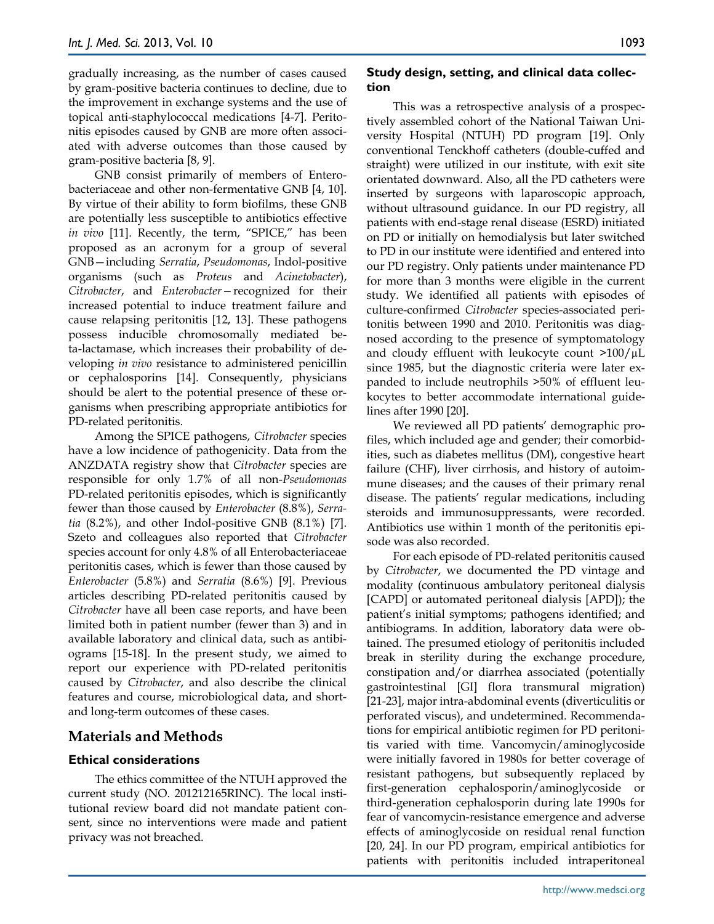gradually increasing, as the number of cases caused by gram-positive bacteria continues to decline, due to the improvement in exchange systems and the use of topical anti-staphylococcal medications [4-7]. Peritonitis episodes caused by GNB are more often associated with adverse outcomes than those caused by gram-positive bacteria [8, 9].

GNB consist primarily of members of Enterobacteriaceae and other non-fermentative GNB [4, 10]. By virtue of their ability to form biofilms, these GNB are potentially less susceptible to antibiotics effective *in vivo* [11]. Recently, the term, "SPICE," has been proposed as an acronym for a group of several GNB—including *Serratia*, *Pseudomonas*, Indol-positive organisms (such as *Proteus* and *Acinetobacter*), *Citrobacter*, and *Enterobacter—*recognized for their increased potential to induce treatment failure and cause relapsing peritonitis [12, 13]. These pathogens possess inducible chromosomally mediated beta-lactamase, which increases their probability of developing *in vivo* resistance to administered penicillin or cephalosporins [14]. Consequently, physicians should be alert to the potential presence of these organisms when prescribing appropriate antibiotics for PD-related peritonitis.

Among the SPICE pathogens, *Citrobacter* species have a low incidence of pathogenicity. Data from the ANZDATA registry show that *Citrobacter* species are responsible for only 1.7% of all non-*Pseudomonas* PD-related peritonitis episodes, which is significantly fewer than those caused by *Enterobacter* (8.8%), *Serratia* (8.2%), and other Indol-positive GNB (8.1%) [7]. Szeto and colleagues also reported that *Citrobacter* species account for only 4.8% of all Enterobacteriaceae peritonitis cases, which is fewer than those caused by *Enterobacter* (5.8%) and *Serratia* (8.6%) [9]. Previous articles describing PD-related peritonitis caused by *Citrobacter* have all been case reports, and have been limited both in patient number (fewer than 3) and in available laboratory and clinical data, such as antibiograms [15-18]. In the present study, we aimed to report our experience with PD-related peritonitis caused by *Citrobacter*, and also describe the clinical features and course, microbiological data, and shortand long-term outcomes of these cases.

## **Materials and Methods**

#### **Ethical considerations**

The ethics committee of the NTUH approved the current study (NO. 201212165RINC). The local institutional review board did not mandate patient consent, since no interventions were made and patient privacy was not breached.

#### **Study design, setting, and clinical data collection**

This was a retrospective analysis of a prospectively assembled cohort of the National Taiwan University Hospital (NTUH) PD program [19]. Only conventional Tenckhoff catheters (double-cuffed and straight) were utilized in our institute, with exit site orientated downward. Also, all the PD catheters were inserted by surgeons with laparoscopic approach, without ultrasound guidance. In our PD registry, all patients with end-stage renal disease (ESRD) initiated on PD or initially on hemodialysis but later switched to PD in our institute were identified and entered into our PD registry. Only patients under maintenance PD for more than 3 months were eligible in the current study. We identified all patients with episodes of culture-confirmed *Citrobacter* species-associated peritonitis between 1990 and 2010. Peritonitis was diagnosed according to the presence of symptomatology and cloudy effluent with leukocyte count  $>100/\mu L$ since 1985, but the diagnostic criteria were later expanded to include neutrophils >50% of effluent leukocytes to better accommodate international guidelines after 1990 [20].

We reviewed all PD patients' demographic profiles, which included age and gender; their comorbidities, such as diabetes mellitus (DM), congestive heart failure (CHF), liver cirrhosis, and history of autoimmune diseases; and the causes of their primary renal disease. The patients' regular medications, including steroids and immunosuppressants, were recorded. Antibiotics use within 1 month of the peritonitis episode was also recorded.

For each episode of PD-related peritonitis caused by *Citrobacter*, we documented the PD vintage and modality (continuous ambulatory peritoneal dialysis [CAPD] or automated peritoneal dialysis [APD]); the patient's initial symptoms; pathogens identified; and antibiograms. In addition, laboratory data were obtained. The presumed etiology of peritonitis included break in sterility during the exchange procedure, constipation and/or diarrhea associated (potentially gastrointestinal [GI] flora transmural migration) [21-23], major intra-abdominal events (diverticulitis or perforated viscus), and undetermined. Recommendations for empirical antibiotic regimen for PD peritonitis varied with time. Vancomycin/aminoglycoside were initially favored in 1980s for better coverage of resistant pathogens, but subsequently replaced by first-generation cephalosporin/aminoglycoside or third-generation cephalosporin during late 1990s for fear of vancomycin-resistance emergence and adverse effects of aminoglycoside on residual renal function [20, 24]. In our PD program, empirical antibiotics for patients with peritonitis included intraperitoneal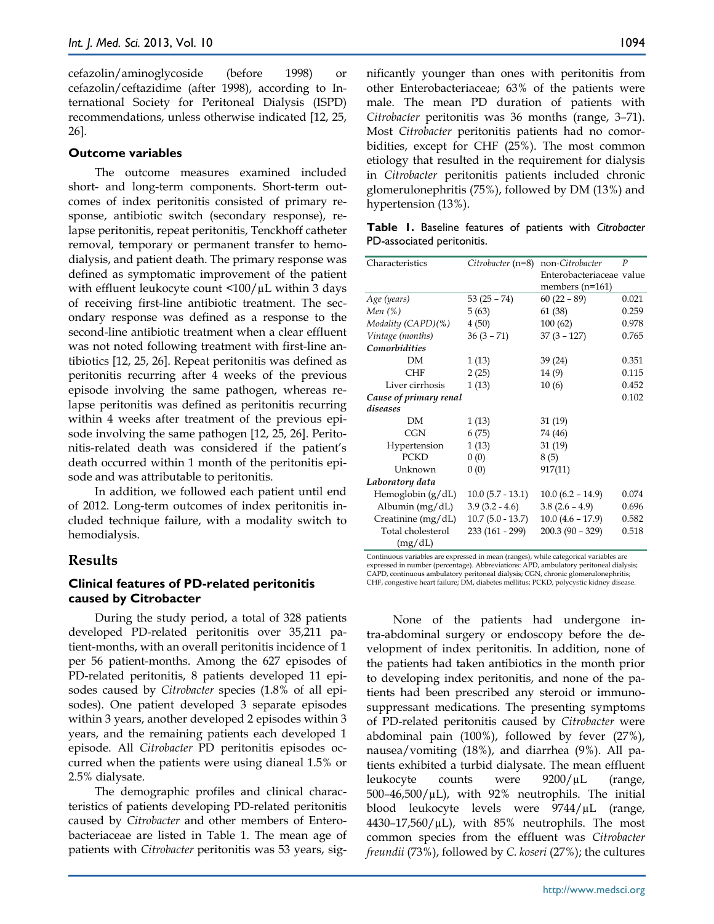cefazolin/aminoglycoside (before 1998) or cefazolin/ceftazidime (after 1998), according to International Society for Peritoneal Dialysis (ISPD) recommendations, unless otherwise indicated [12, 25, 26].

#### **Outcome variables**

The outcome measures examined included short- and long-term components. Short-term outcomes of index peritonitis consisted of primary response, antibiotic switch (secondary response), relapse peritonitis, repeat peritonitis, Tenckhoff catheter removal, temporary or permanent transfer to hemodialysis, and patient death. The primary response was defined as symptomatic improvement of the patient with effluent leukocyte count  $\langle 100 / \mu L \rangle$  within 3 days of receiving first-line antibiotic treatment. The secondary response was defined as a response to the second-line antibiotic treatment when a clear effluent was not noted following treatment with first-line antibiotics [12, 25, 26]. Repeat peritonitis was defined as peritonitis recurring after 4 weeks of the previous episode involving the same pathogen, whereas relapse peritonitis was defined as peritonitis recurring within 4 weeks after treatment of the previous episode involving the same pathogen [12, 25, 26]. Peritonitis-related death was considered if the patient's death occurred within 1 month of the peritonitis episode and was attributable to peritonitis.

In addition, we followed each patient until end of 2012. Long-term outcomes of index peritonitis included technique failure, with a modality switch to hemodialysis.

#### **Results**

## **Clinical features of PD-related peritonitis caused by Citrobacter**

During the study period, a total of 328 patients developed PD-related peritonitis over 35,211 patient-months, with an overall peritonitis incidence of 1 per 56 patient-months. Among the 627 episodes of PD-related peritonitis, 8 patients developed 11 episodes caused by *Citrobacter* species (1.8% of all episodes). One patient developed 3 separate episodes within 3 years, another developed 2 episodes within 3 years, and the remaining patients each developed 1 episode. All *Citrobacter* PD peritonitis episodes occurred when the patients were using dianeal 1.5% or 2.5% dialysate.

The demographic profiles and clinical characteristics of patients developing PD-related peritonitis caused by *Citrobacter* and other members of Enterobacteriaceae are listed in Table 1. The mean age of patients with *Citrobacter* peritonitis was 53 years, significantly younger than ones with peritonitis from other Enterobacteriaceae; 63% of the patients were male. The mean PD duration of patients with *Citrobacter* peritonitis was 36 months (range, 3–71). Most *Citrobacter* peritonitis patients had no comorbidities, except for CHF (25%). The most common etiology that resulted in the requirement for dialysis in *Citrobacter* peritonitis patients included chronic glomerulonephritis (75%), followed by DM (13%) and hypertension (13%).

**Table 1.** Baseline features of patients with *Citrobacter*  PD-associated peritonitis.

| Characteristics        | Citrobacter (n=8)  | non-Citrobacter          | P     |
|------------------------|--------------------|--------------------------|-------|
|                        |                    | Enterobacteriaceae value |       |
|                        |                    | members $(n=161)$        |       |
| Age (years)            | $53(25 - 74)$      | $60(22 - 89)$            | 0.021 |
| Men $(\%)$             | 5(63)              | 61 (38)                  | 0.259 |
| Modality (CAPD)(%)     | 4(50)              | 100(62)                  | 0.978 |
| Vintage (months)       | $36(3 - 71)$       | $37(3 - 127)$            | 0.765 |
| Comorbidities          |                    |                          |       |
| DМ                     | 1(13)              | 39 (24)                  | 0.351 |
| <b>CHF</b>             | 2(25)              | 14 (9)                   | 0.115 |
| Liver cirrhosis        | 1(13)              | 10(6)                    | 0.452 |
| Cause of primary renal |                    |                          | 0.102 |
| diseases               |                    |                          |       |
| <b>DM</b>              | 1(13)              | 31 (19)                  |       |
| CGN                    | 6(75)              | 74 (46)                  |       |
| Hypertension           | 1(13)              | 31(19)                   |       |
| <b>PCKD</b>            | 0(0)               | 8(5)                     |       |
| Unknown                | 0(0)               | 917(11)                  |       |
| Laboratory data        |                    |                          |       |
| Hemoglobin $(g/dL)$    | $10.0(5.7 - 13.1)$ | $10.0(6.2 - 14.9)$       | 0.074 |
| Albumin $(mg/dL)$      | $3.9(3.2 - 4.6)$   | $3.8(2.6 - 4.9)$         | 0.696 |
| Creatinine (mg/dL)     | $10.7(5.0 - 13.7)$ | $10.0 (4.6 - 17.9)$      | 0.582 |
| Total cholesterol      | 233 (161 - 299)    | $200.3(90 - 329)$        | 0.518 |
| (mg/dL)                |                    |                          |       |

Continuous variables are expressed in mean (ranges), while categorical variables are expressed in number (percentage). Abbreviations: APD, ambulatory peritoneal dialysis; CAPD, continuous ambulatory peritoneal dialysis; CGN, chronic glomerulonephritis; CHF, congestive heart failure; DM, diabetes mellitus; PCKD, polycystic kidney disease.

None of the patients had undergone intra-abdominal surgery or endoscopy before the development of index peritonitis. In addition, none of the patients had taken antibiotics in the month prior to developing index peritonitis, and none of the patients had been prescribed any steroid or immunosuppressant medications. The presenting symptoms of PD-related peritonitis caused by *Citrobacter* were abdominal pain (100%), followed by fever (27%), nausea/vomiting (18%), and diarrhea (9%). All patients exhibited a turbid dialysate. The mean effluent leukocyte counts were 9200/µL (range,  $500-46,500/\mu L$ ), with 92% neutrophils. The initial blood leukocyte levels were 9744/µL (range,  $4430-17,560/\mu L$ , with 85% neutrophils. The most common species from the effluent was *Citrobacter freundii* (73%), followed by *C. koseri* (27%); the cultures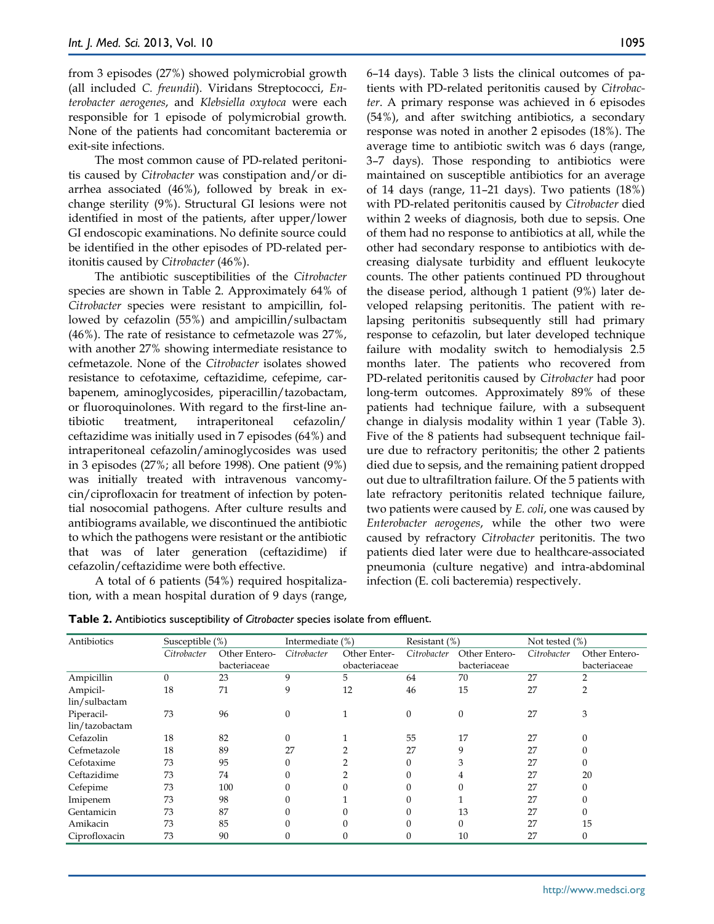from 3 episodes (27%) showed polymicrobial growth (all included *C. freundii*). Viridans Streptococci, *Enterobacter aerogenes*, and *Klebsiella oxytoca* were each responsible for 1 episode of polymicrobial growth. None of the patients had concomitant bacteremia or exit-site infections.

The most common cause of PD-related peritonitis caused by *Citrobacter* was constipation and/or diarrhea associated (46%), followed by break in exchange sterility (9%). Structural GI lesions were not identified in most of the patients, after upper/lower GI endoscopic examinations. No definite source could be identified in the other episodes of PD-related peritonitis caused by *Citrobacter* (46%).

The antibiotic susceptibilities of the *Citrobacter* species are shown in Table 2. Approximately 64% of *Citrobacter* species were resistant to ampicillin, followed by cefazolin (55%) and ampicillin/sulbactam (46%). The rate of resistance to cefmetazole was 27%, with another 27% showing intermediate resistance to cefmetazole. None of the *Citrobacter* isolates showed resistance to cefotaxime, ceftazidime, cefepime, carbapenem, aminoglycosides, piperacillin/tazobactam, or fluoroquinolones. With regard to the first-line antibiotic treatment, intraperitoneal cefazolin/ ceftazidime was initially used in 7 episodes (64%) and intraperitoneal cefazolin/aminoglycosides was used in 3 episodes (27%; all before 1998). One patient (9%) was initially treated with intravenous vancomycin/ciprofloxacin for treatment of infection by potential nosocomial pathogens. After culture results and antibiograms available, we discontinued the antibiotic to which the pathogens were resistant or the antibiotic that was of later generation (ceftazidime) if cefazolin/ceftazidime were both effective.

A total of 6 patients (54%) required hospitalization, with a mean hospital duration of 9 days (range,

6–14 days). Table 3 lists the clinical outcomes of patients with PD-related peritonitis caused by *Citrobacter*. A primary response was achieved in 6 episodes (54%), and after switching antibiotics, a secondary response was noted in another 2 episodes (18%). The average time to antibiotic switch was 6 days (range, 3–7 days). Those responding to antibiotics were maintained on susceptible antibiotics for an average of 14 days (range, 11–21 days). Two patients (18%) with PD-related peritonitis caused by *Citrobacter* died within 2 weeks of diagnosis, both due to sepsis. One of them had no response to antibiotics at all, while the other had secondary response to antibiotics with decreasing dialysate turbidity and effluent leukocyte counts. The other patients continued PD throughout the disease period, although 1 patient (9%) later developed relapsing peritonitis. The patient with relapsing peritonitis subsequently still had primary response to cefazolin, but later developed technique failure with modality switch to hemodialysis 2.5 months later. The patients who recovered from PD-related peritonitis caused by *Citrobacter* had poor long-term outcomes. Approximately 89% of these patients had technique failure, with a subsequent change in dialysis modality within 1 year (Table 3). Five of the 8 patients had subsequent technique failure due to refractory peritonitis; the other 2 patients died due to sepsis, and the remaining patient dropped out due to ultrafiltration failure. Of the 5 patients with late refractory peritonitis related technique failure, two patients were caused by *E. coli*, one was caused by *Enterobacter aerogenes*, while the other two were caused by refractory *Citrobacter* peritonitis. The two patients died later were due to healthcare-associated pneumonia (culture negative) and intra-abdominal infection (E. coli bacteremia) respectively.

| Antibiotics<br>Susceptible (%) |             | Intermediate (%) |                  | Resistant (%) |             | Not tested (%)   |             |               |
|--------------------------------|-------------|------------------|------------------|---------------|-------------|------------------|-------------|---------------|
|                                | Citrobacter | Other Entero-    | Citrobacter      | Other Enter-  | Citrobacter | Other Entero-    | Citrobacter | Other Entero- |
|                                |             | bacteriaceae     |                  | obacteriaceae |             | bacteriaceae     |             | bacteriaceae  |
| Ampicillin                     | $\Omega$    | 23               | 9                | 5             | 64          | 70               | 27          | $\mathcal{P}$ |
| Ampicil-                       | 18          | 71               | 9                | 12            | 46          | 15               | 27          |               |
| lin/sulbactam                  |             |                  |                  |               |             |                  |             |               |
| Piperacil-                     | 73          | 96               | $\boldsymbol{0}$ |               | 0           | $\boldsymbol{0}$ | 27          | 3             |
| lin/tazobactam                 |             |                  |                  |               |             |                  |             |               |
| Cefazolin                      | 18          | 82               | $\mathbf{0}$     |               | 55          | 17               | 27          | $\Omega$      |
| Cefmetazole                    | 18          | 89               | 27               |               | 27          | 9                | 27          | $\Omega$      |
| Cefotaxime                     | 73          | 95               | $\mathbf{0}$     |               | 0           | 3                | 27          | $\Omega$      |
| Ceftazidime                    | 73          | 74               | $\Omega$         |               | 0           | 4                | 27          | 20            |
| Cefepime                       | 73          | 100              | $\Omega$         |               |             |                  | 27          |               |
| Imipenem                       | 73          | 98               | $\Omega$         |               |             |                  | 27          |               |
| Gentamicin                     | 73          | 87               | $\Omega$         |               |             | 13               | 27          |               |
| Amikacin                       | 73          | 85               | $\Omega$         |               |             |                  | 27          | 15            |
| Ciprofloxacin                  | 73          | 90               | 0                |               | 0           | 10               | 27          | $\theta$      |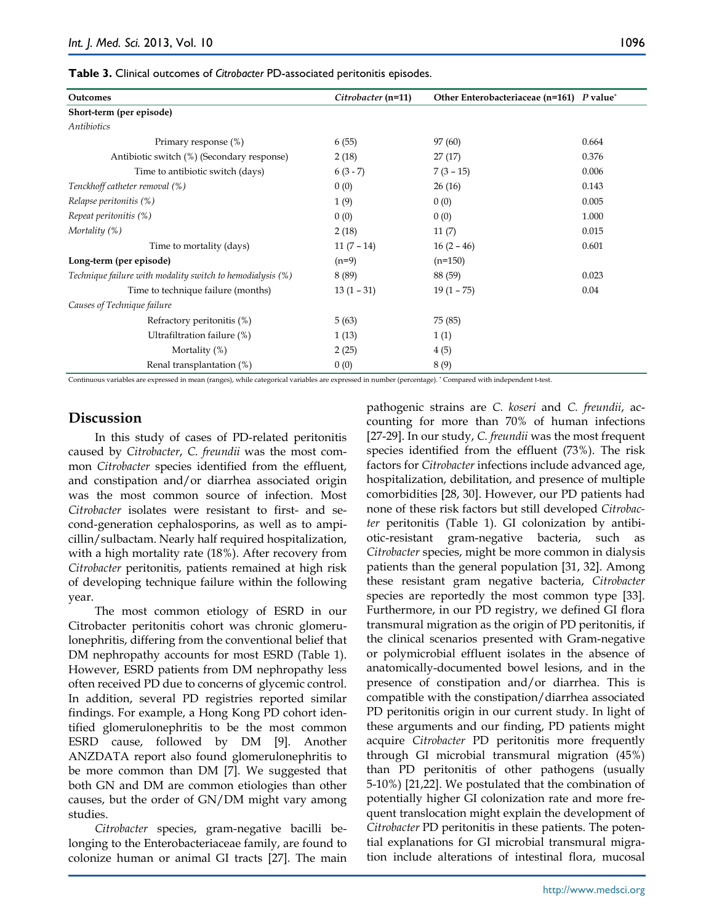**Table 3.** Clinical outcomes of *Citrobacter* PD-associated peritonitis episodes.

| Outcomes                                                   | Citrobacter (n=11) | Other Enterobacteriaceae (n=161) P value* |       |
|------------------------------------------------------------|--------------------|-------------------------------------------|-------|
| Short-term (per episode)                                   |                    |                                           |       |
| Antibiotics                                                |                    |                                           |       |
| Primary response (%)                                       | 6(55)              | 97 (60)                                   | 0.664 |
| Antibiotic switch (%) (Secondary response)                 | 2(18)              | 27(17)                                    | 0.376 |
| Time to antibiotic switch (days)                           | $6(3-7)$           | $7(3-15)$                                 | 0.006 |
| Tenckhoff catheter removal (%)                             | 0(0)               | 26(16)                                    | 0.143 |
| Relapse peritonitis (%)                                    | 1(9)               | 0(0)                                      | 0.005 |
| Repeat peritonitis (%)                                     | 0(0)               | 0(0)                                      | 1.000 |
| Mortality $(\%)$                                           | 2(18)              | 11(7)                                     | 0.015 |
| Time to mortality (days)                                   | $11(7-14)$         | $16(2-46)$                                | 0.601 |
| Long-term (per episode)                                    | $(n=9)$            | $(n=150)$                                 |       |
| Technique failure with modality switch to hemodialysis (%) | 8 (89)             | 88 (59)                                   | 0.023 |
| Time to technique failure (months)                         | $13(1 - 31)$       | $19(1 - 75)$                              | 0.04  |
| Causes of Technique failure                                |                    |                                           |       |
| Refractory peritonitis (%)                                 | 5(63)              | 75 (85)                                   |       |
| Ultrafiltration failure (%)                                | 1(13)              | 1(1)                                      |       |
| Mortality $(\%)$                                           | 2(25)              | 4(5)                                      |       |
| Renal transplantation (%)                                  | 0(0)               | 8(9)                                      |       |

Continuous variables are expressed in mean (ranges), while categorical variables are expressed in number (percentage). \* Compared with independent t-test.

## **Discussion**

In this study of cases of PD-related peritonitis caused by *Citrobacter*, *C. freundii* was the most common *Citrobacter* species identified from the effluent, and constipation and/or diarrhea associated origin was the most common source of infection. Most *Citrobacter* isolates were resistant to first- and second-generation cephalosporins, as well as to ampicillin/sulbactam. Nearly half required hospitalization, with a high mortality rate (18%). After recovery from *Citrobacter* peritonitis, patients remained at high risk of developing technique failure within the following year.

The most common etiology of ESRD in our Citrobacter peritonitis cohort was chronic glomerulonephritis, differing from the conventional belief that DM nephropathy accounts for most ESRD (Table 1). However, ESRD patients from DM nephropathy less often received PD due to concerns of glycemic control. In addition, several PD registries reported similar findings. For example, a Hong Kong PD cohort identified glomerulonephritis to be the most common ESRD cause, followed by DM [9]. Another ANZDATA report also found glomerulonephritis to be more common than DM [7]. We suggested that both GN and DM are common etiologies than other causes, but the order of GN/DM might vary among studies.

*Citrobacter* species, gram-negative bacilli belonging to the Enterobacteriaceae family, are found to colonize human or animal GI tracts [27]. The main pathogenic strains are *C. koseri* and *C. freundii*, accounting for more than 70% of human infections [27-29]. In our study, *C. freundii* was the most frequent species identified from the effluent (73%). The risk factors for *Citrobacter* infections include advanced age, hospitalization, debilitation, and presence of multiple comorbidities [28, 30]. However, our PD patients had none of these risk factors but still developed *Citrobacter* peritonitis (Table 1). GI colonization by antibiotic-resistant gram-negative bacteria, such as *Citrobacter* species, might be more common in dialysis patients than the general population [31, 32]. Among these resistant gram negative bacteria, *Citrobacter* species are reportedly the most common type [33]. Furthermore, in our PD registry, we defined GI flora transmural migration as the origin of PD peritonitis, if the clinical scenarios presented with Gram-negative or polymicrobial effluent isolates in the absence of anatomically-documented bowel lesions, and in the presence of constipation and/or diarrhea. This is compatible with the constipation/diarrhea associated PD peritonitis origin in our current study. In light of these arguments and our finding, PD patients might acquire *Citrobacter* PD peritonitis more frequently through GI microbial transmural migration (45%) than PD peritonitis of other pathogens (usually 5-10%) [21,22]. We postulated that the combination of potentially higher GI colonization rate and more frequent translocation might explain the development of *Citrobacter* PD peritonitis in these patients. The potential explanations for GI microbial transmural migration include alterations of intestinal flora, mucosal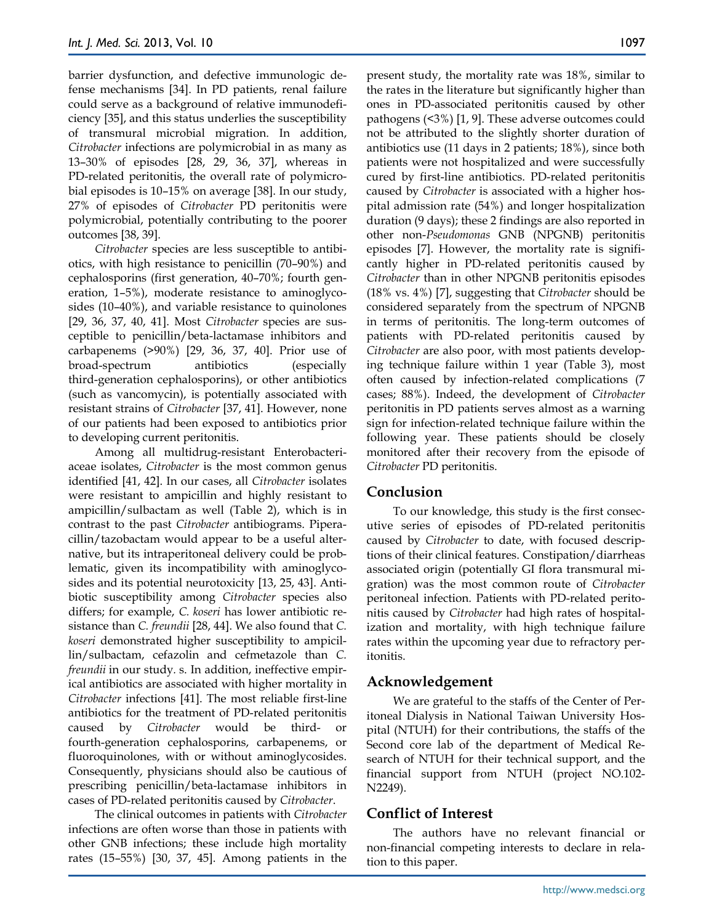barrier dysfunction, and defective immunologic defense mechanisms [34]. In PD patients, renal failure could serve as a background of relative immunodeficiency [35], and this status underlies the susceptibility of transmural microbial migration. In addition, *Citrobacter* infections are polymicrobial in as many as 13–30% of episodes [28, 29, 36, 37], whereas in PD-related peritonitis, the overall rate of polymicrobial episodes is 10–15% on average [38]. In our study, 27% of episodes of *Citrobacter* PD peritonitis were polymicrobial, potentially contributing to the poorer outcomes [38, 39].

*Citrobacter* species are less susceptible to antibiotics, with high resistance to penicillin (70–90%) and cephalosporins (first generation, 40–70%; fourth generation, 1–5%), moderate resistance to aminoglycosides (10–40%), and variable resistance to quinolones [29, 36, 37, 40, 41]. Most *Citrobacter* species are susceptible to penicillin/beta-lactamase inhibitors and carbapenems (>90%) [29, 36, 37, 40]. Prior use of broad-spectrum antibiotics (especially third-generation cephalosporins), or other antibiotics (such as vancomycin), is potentially associated with resistant strains of *Citrobacter* [37, 41]. However, none of our patients had been exposed to antibiotics prior to developing current peritonitis.

Among all multidrug-resistant Enterobacteriaceae isolates, *Citrobacter* is the most common genus identified [41, 42]. In our cases, all *Citrobacter* isolates were resistant to ampicillin and highly resistant to ampicillin/sulbactam as well (Table 2), which is in contrast to the past *Citrobacter* antibiograms. Piperacillin/tazobactam would appear to be a useful alternative, but its intraperitoneal delivery could be problematic, given its incompatibility with aminoglycosides and its potential neurotoxicity [13, 25, 43]. Antibiotic susceptibility among *Citrobacter* species also differs; for example, *C. koseri* has lower antibiotic resistance than *C. freundii* [28, 44]. We also found that *C. koseri* demonstrated higher susceptibility to ampicillin/sulbactam, cefazolin and cefmetazole than *C. freundii* in our study*.* s. In addition, ineffective empirical antibiotics are associated with higher mortality in *Citrobacter* infections [41]. The most reliable first-line antibiotics for the treatment of PD-related peritonitis caused by *Citrobacter* would be third- or fourth-generation cephalosporins, carbapenems, or fluoroquinolones, with or without aminoglycosides. Consequently, physicians should also be cautious of prescribing penicillin/beta-lactamase inhibitors in cases of PD-related peritonitis caused by *Citrobacter*.

The clinical outcomes in patients with *Citrobacter* infections are often worse than those in patients with other GNB infections; these include high mortality rates (15–55%) [30, 37, 45]. Among patients in the

present study, the mortality rate was 18%, similar to the rates in the literature but significantly higher than ones in PD-associated peritonitis caused by other pathogens (<3%) [1, 9]. These adverse outcomes could not be attributed to the slightly shorter duration of antibiotics use (11 days in 2 patients; 18%), since both patients were not hospitalized and were successfully cured by first-line antibiotics. PD-related peritonitis caused by *Citrobacter* is associated with a higher hospital admission rate (54%) and longer hospitalization duration (9 days); these 2 findings are also reported in other non-*Pseudomonas* GNB (NPGNB) peritonitis episodes [7]. However, the mortality rate is significantly higher in PD-related peritonitis caused by *Citrobacter* than in other NPGNB peritonitis episodes (18% vs. 4%) [7], suggesting that *Citrobacter* should be considered separately from the spectrum of NPGNB in terms of peritonitis. The long-term outcomes of patients with PD-related peritonitis caused by *Citrobacter* are also poor, with most patients developing technique failure within 1 year (Table 3), most often caused by infection-related complications (7 cases; 88%). Indeed, the development of *Citrobacter* peritonitis in PD patients serves almost as a warning sign for infection-related technique failure within the following year. These patients should be closely monitored after their recovery from the episode of *Citrobacter* PD peritonitis.

# **Conclusion**

To our knowledge, this study is the first consecutive series of episodes of PD-related peritonitis caused by *Citrobacter* to date, with focused descriptions of their clinical features. Constipation/diarrheas associated origin (potentially GI flora transmural migration) was the most common route of *Citrobacter* peritoneal infection. Patients with PD-related peritonitis caused by *Citrobacter* had high rates of hospitalization and mortality, with high technique failure rates within the upcoming year due to refractory peritonitis.

# **Acknowledgement**

We are grateful to the staffs of the Center of Peritoneal Dialysis in National Taiwan University Hospital (NTUH) for their contributions, the staffs of the Second core lab of the department of Medical Research of NTUH for their technical support, and the financial support from NTUH (project NO.102- N2249).

# **Conflict of Interest**

The authors have no relevant financial or non-financial competing interests to declare in relation to this paper.